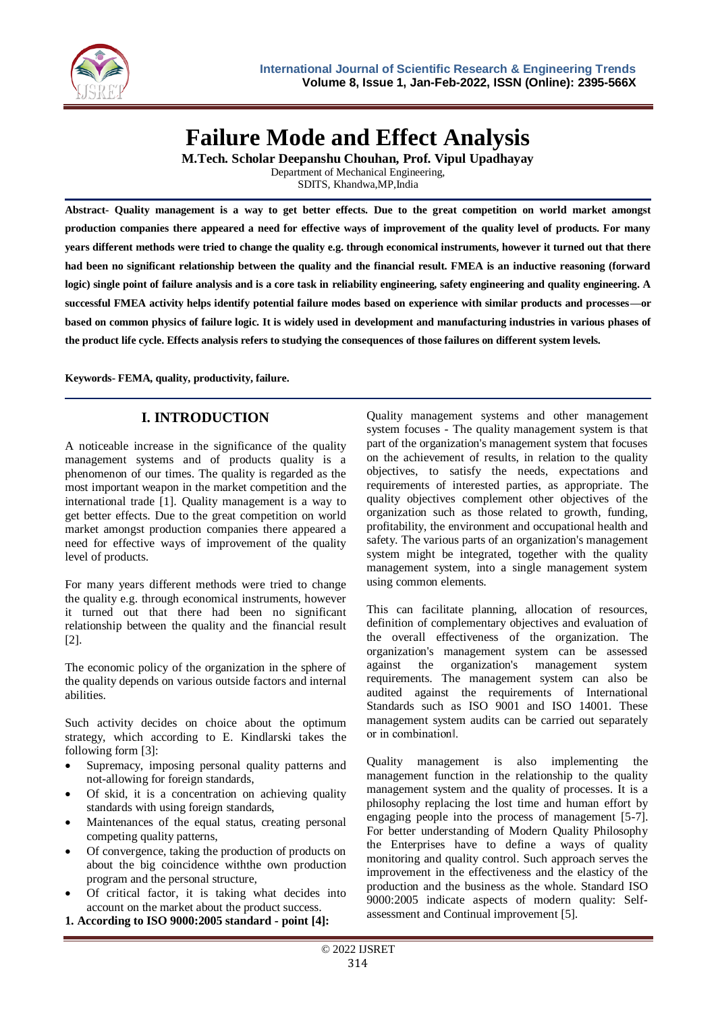

# **Failure Mode and Effect Analysis**

**M.Tech. Scholar Deepanshu Chouhan, Prof. Vipul Upadhayay** Department of Mechanical Engineering,

SDITS, Khandwa,MP,India

**Abstract- Quality management is a way to get better effects. Due to the great competition on world market amongst production companies there appeared a need for effective ways of improvement of the quality level of products. For many years different methods were tried to change the quality e.g. through economical instruments, however it turned out that there had been no significant relationship between the quality and the financial result. FMEA is an inductive reasoning (forward logic) single point of failure analysis and is a core task in reliability engineering, safety engineering and quality engineering. A successful FMEA activity helps identify potential failure modes based on experience with similar products and processes—or based on common physics of failure logic. It is widely used in development and manufacturing industries in various phases of the product life cycle. Effects analysis refers to studying the consequences of those failures on different system levels.**

**Keywords- FEMA, quality, productivity, failure.**

# **I. INTRODUCTION**

A noticeable increase in the significance of the quality management systems and of products quality is a phenomenon of our times. The quality is regarded as the most important weapon in the market competition and the international trade [1]. Quality management is a way to get better effects. Due to the great competition on world market amongst production companies there appeared a need for effective ways of improvement of the quality level of products.

For many years different methods were tried to change the quality e.g. through economical instruments, however it turned out that there had been no significant relationship between the quality and the financial result [2].

The economic policy of the organization in the sphere of the quality depends on various outside factors and internal abilities.

Such activity decides on choice about the optimum strategy, which according to E. Kindlarski takes the following form [3]:

- Supremacy, imposing personal quality patterns and not-allowing for foreign standards,
- Of skid, it is a concentration on achieving quality standards with using foreign standards,
- Maintenances of the equal status, creating personal competing quality patterns,
- Of convergence, taking the production of products on about the big coincidence withthe own production program and the personal structure,
- Of critical factor, it is taking what decides into account on the market about the product success.

**1. According to ISO 9000:2005 standard - point [4]:**

Quality management systems and other management system focuses - The quality management system is that part of the organization's management system that focuses on the achievement of results, in relation to the quality objectives, to satisfy the needs, expectations and requirements of interested parties, as appropriate. The quality objectives complement other objectives of the organization such as those related to growth, funding, profitability, the environment and occupational health and safety. The various parts of an organization's management system might be integrated, together with the quality management system, into a single management system using common elements.

This can facilitate planning, allocation of resources, definition of complementary objectives and evaluation of the overall effectiveness of the organization. The organization's management system can be assessed against the organization's management system requirements. The management system can also be audited against the requirements of International Standards such as ISO 9001 and ISO 14001. These management system audits can be carried out separately or in combination‖.

Quality management is also implementing the management function in the relationship to the quality management system and the quality of processes. It is a philosophy replacing the lost time and human effort by engaging people into the process of management [5-7]. For better understanding of Modern Quality Philosophy the Enterprises have to define a ways of quality monitoring and quality control. Such approach serves the improvement in the effectiveness and the elasticy of the production and the business as the whole. Standard ISO 9000:2005 indicate aspects of modern quality: Selfassessment and Continual improvement [5].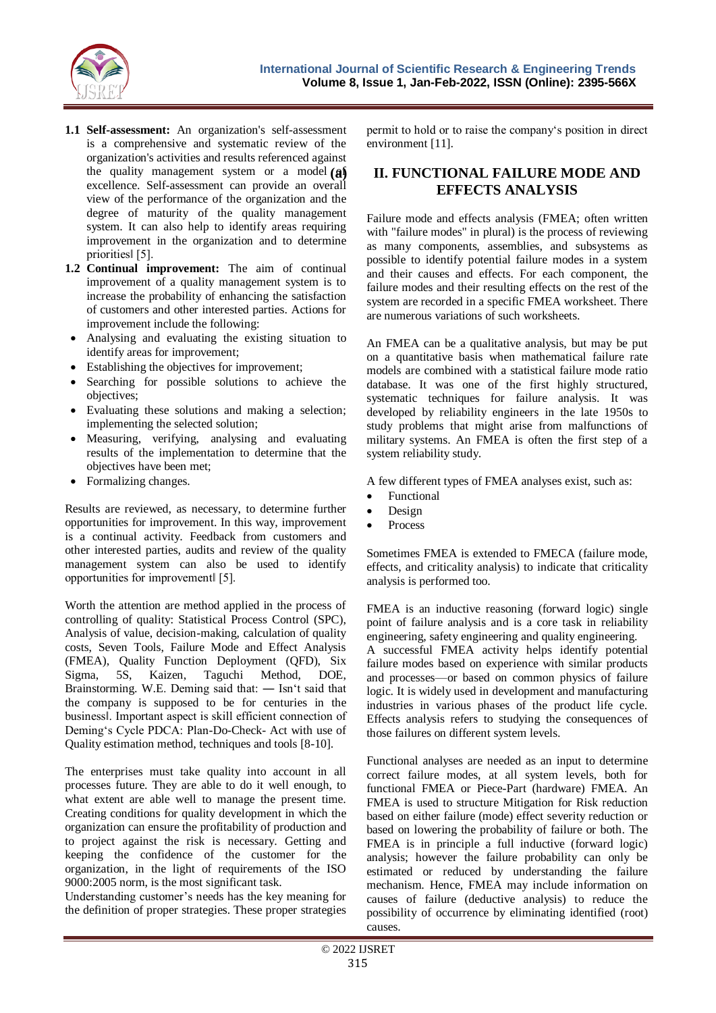

- **1.1 Self-assessment:** An organization's self-assessment is a comprehensive and systematic review of the organization's activities and results referenced against the quality management system or a model  $(\hat{\mathbf{g}})$ excellence. Self-assessment can provide an overall view of the performance of the organization and the degree of maturity of the quality management system. It can also help to identify areas requiring improvement in the organization and to determine priorities‖ [5].
- **1.2 Continual improvement:** The aim of continual improvement of a quality management system is to increase the probability of enhancing the satisfaction of customers and other interested parties. Actions for improvement include the following:
- Analysing and evaluating the existing situation to identify areas for improvement;
- Establishing the objectives for improvement;
- Searching for possible solutions to achieve the objectives;
- Evaluating these solutions and making a selection; implementing the selected solution;
- Measuring, verifying, analysing and evaluating results of the implementation to determine that the objectives have been met;
- Formalizing changes.

Results are reviewed, as necessary, to determine further opportunities for improvement. In this way, improvement is a continual activity. Feedback from customers and other interested parties, audits and review of the quality management system can also be used to identify opportunities for improvement‖ [5].

Worth the attention are method applied in the process of controlling of quality: Statistical Process Control (SPC), Analysis of value, decision-making, calculation of quality costs, Seven Tools, Failure Mode and Effect Analysis (FMEA), Quality Function Deployment (QFD), Six Sigma, 5S, Kaizen, Taguchi Method, DOE, Brainstorming. W.E. Deming said that: ― Isn't said that the company is supposed to be for centuries in the business‖. Important aspect is skill efficient connection of Deming's Cycle PDCA: Plan-Do-Check- Act with use of Quality estimation method, techniques and tools [8-10].

The enterprises must take quality into account in all processes future. They are able to do it well enough, to what extent are able well to manage the present time. Creating conditions for quality development in which the organization can ensure the profitability of production and to project against the risk is necessary. Getting and keeping the confidence of the customer for the organization, in the light of requirements of the ISO 9000:2005 norm, is the most significant task.

Understanding customer's needs has the key meaning for the definition of proper strategies. These proper strategies

permit to hold or to raise the company's position in direct environment [11].

# **(a) II. FUNCTIONAL FAILURE MODE AND EFFECTS ANALYSIS**

Failure mode and effects analysis (FMEA; often written with "failure modes" in plural) is the process of reviewing as many components, assemblies, and subsystems as possible to identify potential failure modes in a system and their causes and effects. For each component, the failure modes and their resulting effects on the rest of the system are recorded in a specific FMEA worksheet. There are numerous variations of such worksheets.

An FMEA can be a qualitative analysis, but may be put on a quantitative basis when mathematical [failure rate](https://en.wikipedia.org/wiki/Failure_rate)  models are combined with a statistical failure mode ratio database. It was one of the first highly structured, systematic techniques for [failure analysis.](https://en.wikipedia.org/wiki/Failure_analysis) It was developed by [reliability engineers i](https://en.wikipedia.org/wiki/Reliability_engineering)n the late 1950s to study problems that might arise from malfunctions of military systems. An FMEA is often the first step of a system reliability study.

A few different types of FMEA analyses exist, such as:

- Functional
- Design
- Process

Sometimes FMEA is extended to [FMECA \(](https://en.wikipedia.org/wiki/FMECA)failure mode, effects, and criticality analysis) to indicate that criticality analysis is performed too.

FMEA is an [inductive reasoning \(](https://en.wikipedia.org/wiki/Inductive_reasoning)forward logic) single point of failure analysis and is a core task in [reliability](https://en.wikipedia.org/wiki/Reliability_engineering)  [engineering, safety engineering a](https://en.wikipedia.org/wiki/Reliability_engineering)n[d quality engineering.](https://en.wikipedia.org/wiki/Quality_engineering)

A successful FMEA activity helps identify potential failure modes based on experience with similar products and processes—or based on common physics of failure logic. It is widely used in development and manufacturing industries in various phases of the product life cycle. Effects analysis refers to studying the consequences of those failures on different system levels.

Functional analyses are needed as an input to determine correct failure modes, at all system levels, both for functional FMEA or Piece-Part (hardware) FMEA. An FMEA is used to structure Mitigation for Risk reduction based on either failure (mode) effect severity reduction or based on lowering the probability of failure or both. The FMEA is in principle a full inductive (forward logic) analysis; however the failure probability can only be estimated or reduced by understanding the failure mechanism. Hence, FMEA may include information on causes of failure (deductive analysis) to reduce the possibility of occurrence by eliminating identified [\(root\)](https://en.wikipedia.org/wiki/Root_cause)  [causes.](https://en.wikipedia.org/wiki/Root_cause)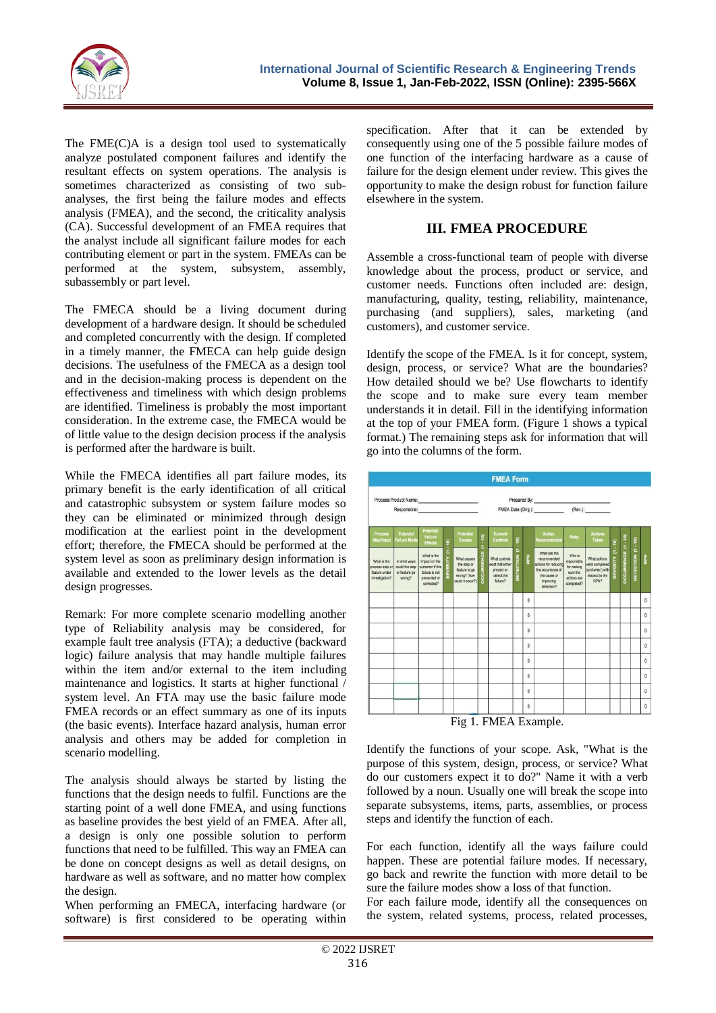

The FME(C)A is a design tool used to systematically analyze postulated component failures and identify the resultant effects on system operations. The analysis is sometimes characterized as consisting of two subanalyses, the first being the failure modes and effects analysis (FMEA), and the second, the criticality analysis (CA). Successful development of an FMEA requires that the analyst include all significant failure modes for each contributing element or part in the system. FMEAs can be performed at the system, subsystem, assembly, subassembly or part level.

The [FMECA s](https://en.wikipedia.org/wiki/FMECA)hould be a living document during development of a hardware design. It should be scheduled and completed concurrently with the design. If completed in a timely manner, the FMECA can help guide design decisions. The usefulness of the FMECA as a design tool and in the decision-making process is dependent on the effectiveness and timeliness with which design problems are identified. Timeliness is probably the most important consideration. In the extreme case, the FMECA would be of little value to the design decision process if the analysis is performed after the hardware is built.

While the FMECA identifies all part failure modes, its primary benefit is the early identification of all critical and catastrophic subsystem or system failure modes so they can be eliminated or minimized through design modification at the earliest point in the development effort; therefore, the FMECA should be performed at the system level as soon as preliminary design information is available and extended to the lower levels as the detail design progresses.

Remark: For more complete scenario modelling another type of Reliability analysis may be considered, for example [fault tree analysis \(](https://en.wikipedia.org/wiki/Fault_tree_analysis)FTA); a deductive (backward logic) failure analysis that may handle multiple failures within the item and/or external to the item including maintenance and logistics. It starts at higher functional / system level. An FTA may use the basic failure mode FMEA records or an effect summary as one of its inputs (the basic events). Interface hazard analysis, human error analysis and others may be added for completion in scenario modelling.

The analysis should always be started by listing the functions that the design needs to fulfil. Functions are the starting point of a well done FMEA, and using functions as baseline provides the best yield of an FMEA. After all, a design is only one possible solution to perform functions that need to be fulfilled. This way an FMEA can be done on concept designs as well as detail designs, on hardware as well as software, and no matter how complex the design.

When performing an FMECA, interfacing hardware (or software) is first considered to be operating within

specification. After that it can be extended by consequently using one of the 5 possible failure modes of one function of the interfacing hardware as a cause of failure for the design element under review. This gives the opportunity to make the design robust for function failure elsewhere in the system.

## **III. FMEA PROCEDURE**

Assemble a cross-functional [team o](https://asq.org/quality-resources/teams)f people with diverse knowledge about the process, product or service, and customer needs. Functions often included are: design, manufacturing, quality, testing, reliability, maintenance, purchasing (and suppliers), sales, marketing (and customers), and customer service.

Identify the scope of the FMEA. Is it for concept, system, design, process, or service? What are the boundaries? How detailed should we be? Use [flowcharts t](https://asq.org/quality-resources/flowchart)o identify the scope and to make sure every team member understands it in detail. Fill in the identifying information at the top of your FMEA form. (Figure 1 shows a typical format.) The remaining steps ask for information that will go into the columns of the form.

|                                                                   |                                                           |                                                                                                  |                 | Process/Product Name:<br>Responsible: <b>Example</b> 2021 2022 2022 2023       |                        |                                                                            |                |              | FMEA Date (Orig.): ____________                                                                                     |                                                                              |                                                                             |                               |                            |                    |              |
|-------------------------------------------------------------------|-----------------------------------------------------------|--------------------------------------------------------------------------------------------------|-----------------|--------------------------------------------------------------------------------|------------------------|----------------------------------------------------------------------------|----------------|--------------|---------------------------------------------------------------------------------------------------------------------|------------------------------------------------------------------------------|-----------------------------------------------------------------------------|-------------------------------|----------------------------|--------------------|--------------|
| Process<br><b>Step/Inout</b>                                      | Potential<br><b>Failure Mode</b>                          | Potentia<br>Failure<br><b>Effects</b>                                                            | . 10)           | Potentia<br>Causas                                                             | iol                    | Current<br>Controls                                                        | $\tilde{e}$    |              | Action<br>Recommended                                                                                               | Resp                                                                         | Actions<br>Taken                                                            |                               |                            |                    |              |
| What is the<br>process step or<br>feature under<br>investigation? | in what ways<br>could the step<br>or feature go<br>wrong? | What is the<br>impact on the<br>customer if this<br>failure is not<br>prevented or<br>corrected? | τ<br>ERITY<br>2 | What causes<br>the step or<br>feature to go<br>wrong? (how<br>could it occur?) | ε<br><b>PCCURRENCE</b> | What controls<br>exist that either<br>prevent or<br>detect the<br>failure? | z<br>DETECTION | RPN          | What are the<br>recommended<br>actions for reducing<br>the occurrence of<br>the cause or<br>improving<br>detection? | Who is<br>responsible<br>for making<br>sure the<br>actions are<br>completed? | What actions<br>were completed<br>(and when) with<br>respect to the<br>RPN? | $(1 - 10)$<br><b>SEVERITY</b> | <b>OCCURRENCE</b> (1 - 10) | DETECTION (1 - 10) | Ě            |
|                                                                   |                                                           |                                                                                                  |                 |                                                                                |                        |                                                                            |                | 0            |                                                                                                                     |                                                                              |                                                                             |                               |                            |                    | $\mathbf{0}$ |
|                                                                   |                                                           |                                                                                                  |                 |                                                                                |                        |                                                                            |                | $\bf{0}$     |                                                                                                                     |                                                                              |                                                                             |                               |                            |                    | $\mathbf{0}$ |
|                                                                   |                                                           |                                                                                                  |                 |                                                                                |                        |                                                                            |                | 0            |                                                                                                                     |                                                                              |                                                                             |                               |                            |                    | 0            |
|                                                                   |                                                           |                                                                                                  |                 |                                                                                |                        |                                                                            |                | 0            |                                                                                                                     |                                                                              |                                                                             |                               |                            |                    | 0            |
|                                                                   |                                                           |                                                                                                  |                 |                                                                                |                        |                                                                            |                | $\mathbf{0}$ |                                                                                                                     |                                                                              |                                                                             |                               |                            |                    | $\mathbf{0}$ |
|                                                                   |                                                           |                                                                                                  |                 |                                                                                |                        |                                                                            |                | 0            |                                                                                                                     |                                                                              |                                                                             |                               |                            |                    | 0            |
|                                                                   |                                                           |                                                                                                  |                 |                                                                                |                        |                                                                            |                | 0            |                                                                                                                     |                                                                              |                                                                             |                               |                            |                    | $\Omega$     |
|                                                                   |                                                           |                                                                                                  |                 |                                                                                |                        |                                                                            |                | 0            |                                                                                                                     |                                                                              |                                                                             |                               |                            |                    | 0            |

Identify the functions of your scope. Ask, "What is the purpose of this system, design, process, or service? What do our customers expect it to do?" Name it with a verb followed by a noun. Usually one will break the scope into separate subsystems, items, parts, assemblies, or process steps and identify the function of each.

For each function, identify all the ways failure could happen. These are potential failure modes. If necessary, go back and rewrite the function with more detail to be sure the failure modes show a loss of that function.

For each failure mode, identify all the consequences on the system, related systems, process, related processes,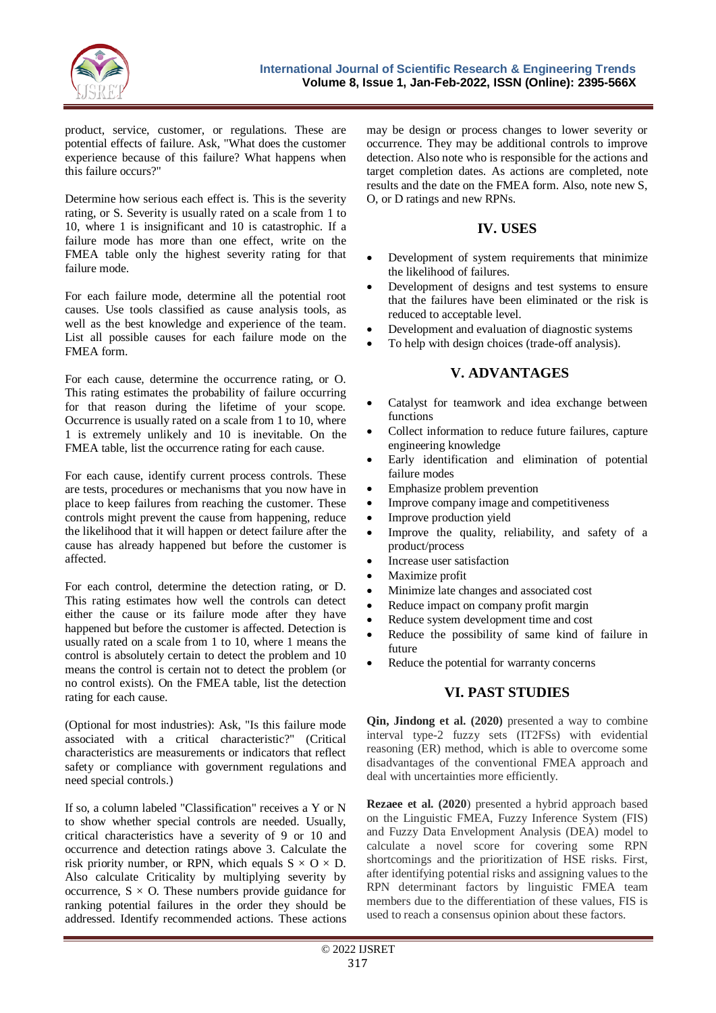

product, service, customer, or regulations. These are potential effects of failure. Ask, "What does the customer experience because of this failure? What happens when this failure occurs?"

Determine how serious each effect is. This is the severity rating, or S. Severity is usually rated on a scale from 1 to 10, where 1 is insignificant and 10 is catastrophic. If a failure mode has more than one effect, write on the FMEA table only the highest severity rating for that failure mode.

For each failure mode, determine all the potential root causes. Use tools classified as [cause](https://asq.org/quality-resources/root-cause-analysis) [analysis tools,](https://asq.org/quality-resources/root-cause-analysis) as well as the best knowledge and experience of the team. List all possible causes for each failure mode on the FMEA form.

For each cause, determine the occurrence rating, or O. This rating estimates the probability of failure occurring for that reason during the lifetime of your scope. Occurrence is usually rated on a scale from 1 to 10, where 1 is extremely unlikely and 10 is inevitable. On the FMEA table, list the occurrence rating for each cause.

For each cause, identify current process controls. These are tests, procedures or mechanisms that you now have in place to keep failures from reaching the customer. These controls might prevent the cause from happening, reduce the likelihood that it will happen or detect failure after the cause has already happened but before the customer is affected.

For each control, determine the detection rating, or D. This rating estimates how well the controls can detect either the cause or its failure mode after they have happened but before the customer is affected. Detection is usually rated on a scale from 1 to 10, where 1 means the control is absolutely certain to detect the problem and 10 means the control is certain not to detect the problem (or no control exists). On the FMEA table, list the detection rating for each cause.

(Optional for most industries): Ask, "Is this failure mode associated with a critical characteristic?" (Critical characteristics are measurements or indicators that reflect safety or compliance with government regulations and need special controls.)

If so, a column labeled "Classification" receives a Y or N to show whether special controls are needed. Usually, critical characteristics have a severity of 9 or 10 and occurrence and detection ratings above 3. Calculate the risk priority number, or RPN, which equals  $S \times O \times D$ . Also calculate Criticality by multiplying severity by occurrence,  $S \times O$ . These numbers provide guidance for ranking potential failures in the order they should be addressed. Identify recommended actions. These actions

may be design or process changes to lower severity or occurrence. They may be additional controls to improve detection. Also note who is responsible for the actions and target completion dates. As actions are completed, note results and the date on the FMEA form. Also, note new S, O, or D ratings and new RPNs.

## **IV. USES**

- Development of system requirements that minimize the likelihood of failures.
- Development of designs and test systems to ensure that the failures have been eliminated or the risk is reduced to acceptable level.
- Development and evaluation of diagnostic systems
- To help with design choices (trade-off analysis).

# **V. ADVANTAGES**

- Catalyst for teamwork and idea exchange between functions
- Collect information to reduce future failures, capture engineering knowledge
- Early identification and elimination of potential failure modes
- Emphasize problem prevention
- Improve company image and competitiveness
- Improve production yield
- Improve the quality, reliability, and safety of a product/process
- Increase user satisfaction
- Maximize profit
- Minimize late changes and associated cost
- Reduce impact on company profit margin
- Reduce system development time and cost
- Reduce the possibility of same kind of failure in future
- Reduce the potential for warranty concerns

# **VI. PAST STUDIES**

**Qin, Jindong et al. (2020)** presented a way to combine interval type-2 fuzzy sets (IT2FSs) with evidential reasoning (ER) method, which is able to overcome some disadvantages of the conventional FMEA approach and deal with uncertainties more efficiently.

**Rezaee et al. (2020**) presented a hybrid approach based on the Linguistic FMEA, Fuzzy Inference System (FIS) and Fuzzy Data Envelopment Analysis (DEA) model to calculate a novel score for covering some RPN shortcomings and the prioritization of HSE risks. First, after identifying potential risks and assigning values to the RPN determinant factors by linguistic FMEA team members due to the differentiation of these values, FIS is used to reach a consensus opinion about these factors.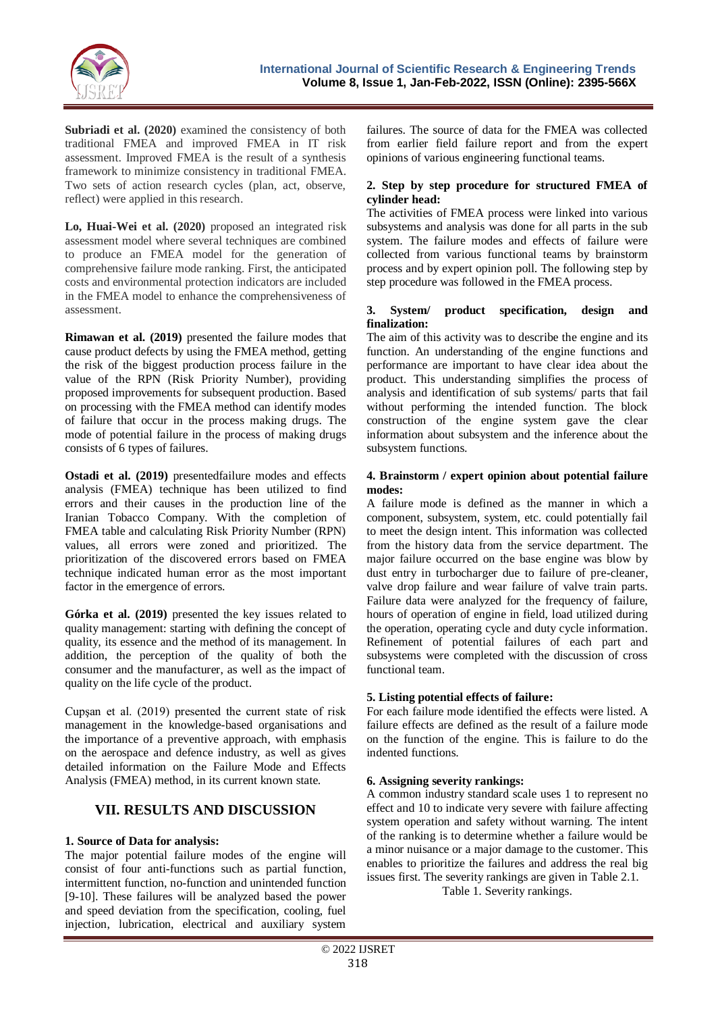

**Subriadi et al. (2020)** examined the consistency of both traditional FMEA and improved FMEA in IT risk assessment. Improved FMEA is the result of a synthesis framework to minimize consistency in traditional FMEA. Two sets of action research cycles (plan, act, observe, reflect) were applied in this research.

**Lo, Huai-Wei et al. (2020)** proposed an integrated risk assessment model where several techniques are combined to produce an FMEA model for the generation of comprehensive failure mode ranking. First, the anticipated costs and environmental protection indicators are included in the FMEA model to enhance the comprehensiveness of assessment.

**Rimawan et al. (2019)** presented the failure modes that cause product defects by using the FMEA method, getting the risk of the biggest production process failure in the value of the RPN (Risk Priority Number), providing proposed improvements for subsequent production. Based on processing with the FMEA method can identify modes of failure that occur in the process making drugs. The mode of potential failure in the process of making drugs consists of 6 types of failures.

**Ostadi et al. (2019)** presentedfailure modes and effects analysis (FMEA) technique has been utilized to find errors and their causes in the production line of the Iranian Tobacco Company. With the completion of FMEA table and calculating Risk Priority Number (RPN) values, all errors were zoned and prioritized. The prioritization of the discovered errors based on FMEA technique indicated human error as the most important factor in the emergence of errors.

**Górka et al. (2019)** presented the key issues related to quality management: starting with defining the concept of quality, its essence and the method of its management. In addition, the perception of the quality of both the consumer and the manufacturer, as well as the impact of quality on the life cycle of the product.

Cupşan et al. (2019) presented the current state of risk management in the knowledge-based organisations and the importance of a preventive approach, with emphasis on the aerospace and defence industry, as well as gives detailed information on the Failure Mode and Effects Analysis (FMEA) method, in its current known state.

# **VII. RESULTS AND DISCUSSION**

## **1. Source of Data for analysis:**

The major potential failure modes of the engine will consist of four anti-functions such as partial function, intermittent function, no-function and unintended function [9-10]. These failures will be analyzed based the power and speed deviation from the specification, cooling, fuel injection, lubrication, electrical and auxiliary system

failures. The source of data for the FMEA was collected from earlier field failure report and from the expert opinions of various engineering functional teams.

#### **2. Step by step procedure for structured FMEA of cylinder head:**

The activities of FMEA process were linked into various subsystems and analysis was done for all parts in the sub system. The failure modes and effects of failure were collected from various functional teams by brainstorm process and by expert opinion poll. The following step by step procedure was followed in the FMEA process.

#### **3. System/ product specification, design and finalization:**

The aim of this activity was to describe the engine and its function. An understanding of the engine functions and performance are important to have clear idea about the product. This understanding simplifies the process of analysis and identification of sub systems/ parts that fail without performing the intended function. The block construction of the engine system gave the clear information about subsystem and the inference about the subsystem functions.

#### **4. Brainstorm / expert opinion about potential failure modes:**

A failure mode is defined as the manner in which a component, subsystem, system, etc. could potentially fail to meet the design intent. This information was collected from the history data from the service department. The major failure occurred on the base engine was blow by dust entry in turbocharger due to failure of pre-cleaner, valve drop failure and wear failure of valve train parts. Failure data were analyzed for the frequency of failure, hours of operation of engine in field, load utilized during the operation, operating cycle and duty cycle information. Refinement of potential failures of each part and subsystems were completed with the discussion of cross functional team.

## **5. Listing potential effects of failure:**

For each failure mode identified the effects were listed. A failure effects are defined as the result of a failure mode on the function of the engine. This is failure to do the indented functions.

## **6. Assigning severity rankings:**

A common industry standard scale uses 1 to represent no effect and 10 to indicate very severe with failure affecting system operation and safety without warning. The intent of the ranking is to determine whether a failure would be a minor nuisance or a major damage to the customer. This enables to prioritize the failures and address the real big issues first. The severity rankings are given in Table 2.1.

Table 1. Severity rankings.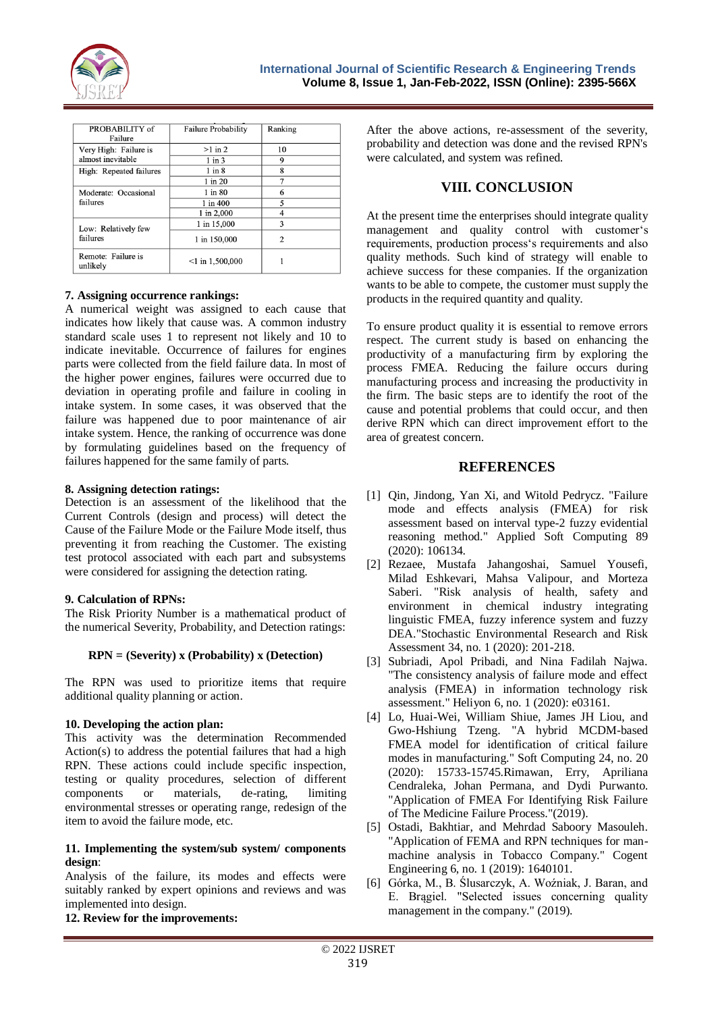

| PROBABILITY of<br>Failure      | <b>Failure Probability</b> | Ranking |
|--------------------------------|----------------------------|---------|
| Very High: Failure is          | $>1$ in 2                  | 10      |
| almost inevitable              | $1$ in $3$                 | 9       |
| High: Repeated failures        | $1$ in $8$                 | 8       |
|                                | $1$ in $20$                |         |
| Moderate: Occasional           | $1$ in $80$                | 6       |
| failures                       | $1$ in $400$               | 5       |
|                                | 1 in 2,000                 | 4       |
| Low: Relatively few            | 1 in 15,000                | 3       |
| failures                       | 1 in 150,000               | 2       |
| Remote: Failure is<br>unlikely | $<$ 1 in 1,500,000         |         |

## **7. Assigning occurrence rankings:**

A numerical weight was assigned to each cause that indicates how likely that cause was. A common industry standard scale uses 1 to represent not likely and 10 to indicate inevitable. Occurrence of failures for engines parts were collected from the field failure data. In most of the higher power engines, failures were occurred due to deviation in operating profile and failure in cooling in intake system. In some cases, it was observed that the failure was happened due to poor maintenance of air intake system. Hence, the ranking of occurrence was done by formulating guidelines based on the frequency of failures happened for the same family of parts.

#### **8. Assigning detection ratings:**

Detection is an assessment of the likelihood that the Current Controls (design and process) will detect the Cause of the Failure Mode or the Failure Mode itself, thus preventing it from reaching the Customer. The existing test protocol associated with each part and subsystems were considered for assigning the detection rating.

## **9. Calculation of RPNs:**

The Risk Priority Number is a mathematical product of the numerical Severity, Probability, and Detection ratings:

## **RPN = (Severity) x (Probability) x (Detection)**

The RPN was used to prioritize items that require additional quality planning or action.

#### **10. Developing the action plan:**

This activity was the determination Recommended Action(s) to address the potential failures that had a high RPN. These actions could include specific inspection, testing or quality procedures, selection of different components or materials, de-rating, limiting environmental stresses or operating range, redesign of the item to avoid the failure mode, etc.

#### **11. Implementing the system/sub system/ components design**:

Analysis of the failure, its modes and effects were suitably ranked by expert opinions and reviews and was implemented into design.

**12. Review for the improvements:**

After the above actions, re-assessment of the severity, probability and detection was done and the revised RPN's were calculated, and system was refined.

# **VIII. CONCLUSION**

At the present time the enterprises should integrate quality management and quality control with customer's requirements, production process's requirements and also quality methods. Such kind of strategy will enable to achieve success for these companies. If the organization wants to be able to compete, the customer must supply the products in the required quantity and quality.

To ensure product quality it is essential to remove errors respect. The current study is based on enhancing the productivity of a manufacturing firm by exploring the process FMEA. Reducing the failure occurs during manufacturing process and increasing the productivity in the firm. The basic steps are to identify the root of the cause and potential problems that could occur, and then derive RPN which can direct improvement effort to the area of greatest concern.

## **REFERENCES**

- [1] Qin, Jindong, Yan Xi, and Witold Pedrycz. "Failure mode and effects analysis (FMEA) for risk assessment based on interval type-2 fuzzy evidential reasoning method." Applied Soft Computing 89 (2020): 106134.
- [2] Rezaee, Mustafa Jahangoshai, Samuel Yousefi, Milad Eshkevari, Mahsa Valipour, and Morteza Saberi. "Risk analysis of health, safety and environment in chemical industry integrating linguistic FMEA, fuzzy inference system and fuzzy DEA."Stochastic Environmental Research and Risk Assessment 34, no. 1 (2020): 201-218.
- [3] Subriadi, Apol Pribadi, and Nina Fadilah Najwa. "The consistency analysis of failure mode and effect analysis (FMEA) in information technology risk assessment." Heliyon 6, no. 1 (2020): e03161.
- [4] Lo, Huai-Wei, William Shiue, James JH Liou, and Gwo-Hshiung Tzeng. "A hybrid MCDM-based FMEA model for identification of critical failure modes in manufacturing." Soft Computing 24, no. 20 (2020): 15733-15745.Rimawan, Erry, Apriliana Cendraleka, Johan Permana, and Dydi Purwanto. "Application of FMEA For Identifying Risk Failure of The Medicine Failure Process."(2019).
- [5] Ostadi, Bakhtiar, and Mehrdad Saboory Masouleh. "Application of FEMA and RPN techniques for manmachine analysis in Tobacco Company." Cogent Engineering 6, no. 1 (2019): 1640101.
- [6] Górka, M., B. Ślusarczyk, A. Woźniak, J. Baran, and E. Brągiel. "Selected issues concerning quality management in the company." (2019).